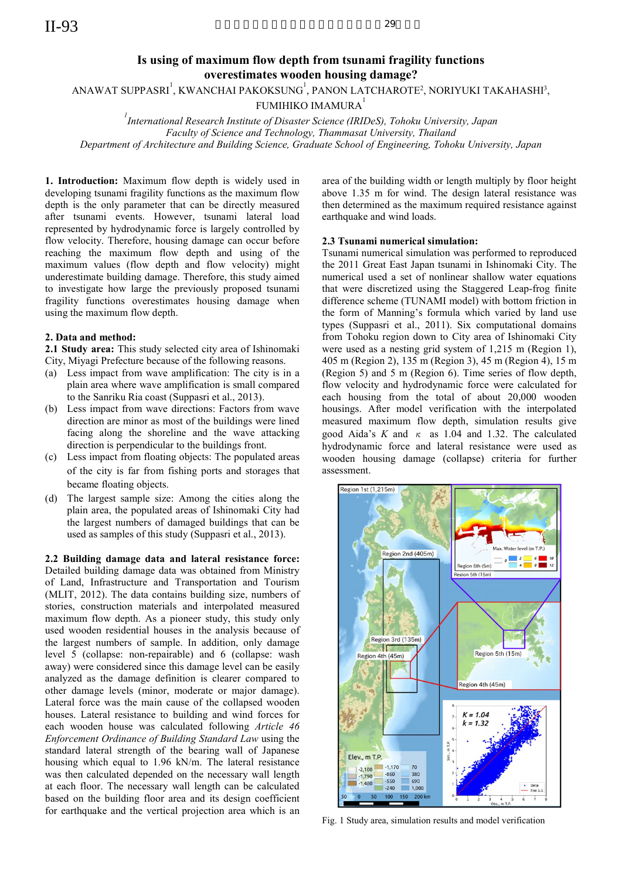# Is using of maximum flow depth from tsunami fragility functions overestimates wooden housing damage?

ANAWAT SUPPASRI $^{\rm l}$ , KWANCHAI PAKOKSUNG $^{\rm l}$ , PANON LATCHAROTE $^{\rm 2}$ , NORIYUKI TAKAHASHI $^{\rm 3}$ ,

FUMIHIKO IMAMURA<sup>1</sup>

<sup>1</sup> International Research Institute of Disaster Science (IRIDeS), Tohoku University, Japan Faculty of Science and Technology, Thammasat University, Thailand Department of Architecture and Building Science, Graduate School of Engineering, Tohoku University, Japan

1. Introduction: Maximum flow depth is widely used in developing tsunami fragility functions as the maximum flow depth is the only parameter that can be directly measured after tsunami events. However, tsunami lateral load represented by hydrodynamic force is largely controlled by flow velocity. Therefore, housing damage can occur before reaching the maximum flow depth and using of the maximum values (flow depth and flow velocity) might underestimate building damage. Therefore, this study aimed to investigate how large the previously proposed tsunami fragility functions overestimates housing damage when using the maximum flow depth.

## 2. Data and method:

2.1 Study area: This study selected city area of Ishinomaki City, Miyagi Prefecture because of the following reasons.

- (a) Less impact from wave amplification: The city is in a plain area where wave amplification is small compared to the Sanriku Ria coast (Suppasri et al., 2013).
- (b) Less impact from wave directions: Factors from wave direction are minor as most of the buildings were lined facing along the shoreline and the wave attacking direction is perpendicular to the buildings front.
- (c) Less impact from floating objects: The populated areas of the city is far from fishing ports and storages that became floating objects.
- (d) The largest sample size: Among the cities along the plain area, the populated areas of Ishinomaki City had the largest numbers of damaged buildings that can be used as samples of this study (Suppasri et al., 2013).

2.2 Building damage data and lateral resistance force: Detailed building damage data was obtained from Ministry of Land, Infrastructure and Transportation and Tourism (MLIT, 2012). The data contains building size, numbers of stories, construction materials and interpolated measured maximum flow depth. As a pioneer study, this study only used wooden residential houses in the analysis because of the largest numbers of sample. In addition, only damage level 5 (collapse: non-repairable) and 6 (collapse: wash away) were considered since this damage level can be easily analyzed as the damage definition is clearer compared to other damage levels (minor, moderate or major damage). Lateral force was the main cause of the collapsed wooden houses. Lateral resistance to building and wind forces for each wooden house was calculated following Article 46 Enforcement Ordinance of Building Standard Law using the standard lateral strength of the bearing wall of Japanese housing which equal to 1.96 kN/m. The lateral resistance was then calculated depended on the necessary wall length at each floor. The necessary wall length can be calculated based on the building floor area and its design coefficient for earthquake and the vertical projection area which is an

area of the building width or length multiply by floor height above 1.35 m for wind. The design lateral resistance was then determined as the maximum required resistance against earthquake and wind loads.

#### 2.3 Tsunami numerical simulation:

Tsunami numerical simulation was performed to reproduced the 2011 Great East Japan tsunami in Ishinomaki City. The numerical used a set of nonlinear shallow water equations that were discretized using the Staggered Leap-frog finite difference scheme (TUNAMI model) with bottom friction in the form of Manning's formula which varied by land use types (Suppasri et al., 2011). Six computational domains from Tohoku region down to City area of Ishinomaki City were used as a nesting grid system of 1,215 m (Region 1), 405 m (Region 2), 135 m (Region 3), 45 m (Region 4), 15 m (Region 5) and 5 m (Region 6). Time series of flow depth, flow velocity and hydrodynamic force were calculated for each housing from the total of about 20,000 wooden housings. After model verification with the interpolated measured maximum flow depth, simulation results give good Aida's K and  $\kappa$  as 1.04 and 1.32. The calculated hydrodynamic force and lateral resistance were used as wooden housing damage (collapse) criteria for further assessment.



Fig. 1 Study area, simulation results and model verification